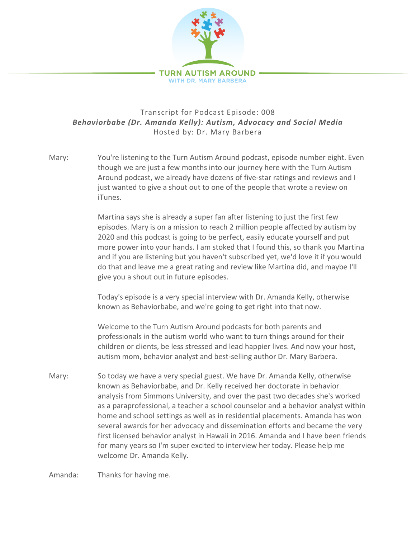

## Transcript for Podcast Episode: 008 *Behaviorbabe (Dr. Amanda Kelly): Autism, Advocacy and Social Media* Hosted by: Dr. Mary Barbera

Mary: You're listening to the Turn Autism Around podcast, episode number eight. Even though we are just a few months into our journey here with the Turn Autism Around podcast, we already have dozens of five-star ratings and reviews and I just wanted to give a shout out to one of the people that wrote a review on iTunes.

> Martina says she is already a super fan after listening to just the first few episodes. Mary is on a mission to reach 2 million people affected by autism by 2020 and this podcast is going to be perfect, easily educate yourself and put more power into your hands. I am stoked that I found this, so thank you Martina and if you are listening but you haven't subscribed yet, we'd love it if you would do that and leave me a great rating and review like Martina did, and maybe I'll give you a shout out in future episodes.

Today's episode is a very special interview with Dr. Amanda Kelly, otherwise known as Behaviorbabe, and we're going to get right into that now.

Welcome to the Turn Autism Around podcasts for both parents and professionals in the autism world who want to turn things around for their children or clients, be less stressed and lead happier lives. And now your host, autism mom, behavior analyst and best-selling author Dr. Mary Barbera.

Mary: So today we have a very special guest. We have Dr. Amanda Kelly, otherwise known as Behaviorbabe, and Dr. Kelly received her doctorate in behavior analysis from Simmons University, and over the past two decades she's worked as a paraprofessional, a teacher a school counselor and a behavior analyst within home and school settings as well as in residential placements. Amanda has won several awards for her advocacy and dissemination efforts and became the very first licensed behavior analyst in Hawaii in 2016. Amanda and I have been friends for many years so I'm super excited to interview her today. Please help me welcome Dr. Amanda Kelly.

Amanda: Thanks for having me.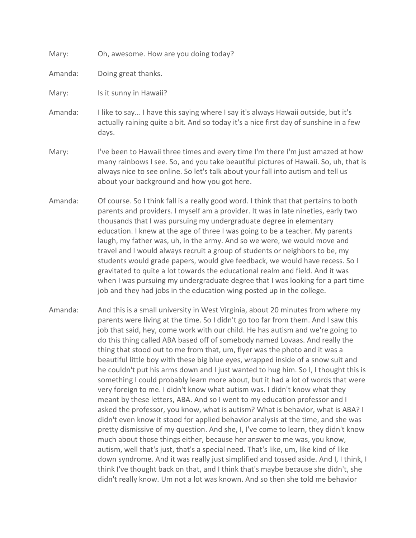| Mary: | Oh, awesome. How are you doing today? |  |  |  |  |
|-------|---------------------------------------|--|--|--|--|
|-------|---------------------------------------|--|--|--|--|

Amanda: Doing great thanks.

Mary: Is it sunny in Hawaii?

- Amanda: I like to say... I have this saying where I say it's always Hawaii outside, but it's actually raining quite a bit. And so today it's a nice first day of sunshine in a few days.
- Mary: Ity been to Hawaii three times and every time I'm there I'm just amazed at how many rainbows I see. So, and you take beautiful pictures of Hawaii. So, uh, that is always nice to see online. So let's talk about your fall into autism and tell us about your background and how you got here.
- Amanda: Of course. So I think fall is a really good word. I think that that pertains to both parents and providers. I myself am a provider. It was in late nineties, early two thousands that I was pursuing my undergraduate degree in elementary education. I knew at the age of three I was going to be a teacher. My parents laugh, my father was, uh, in the army. And so we were, we would move and travel and I would always recruit a group of students or neighbors to be, my students would grade papers, would give feedback, we would have recess. So I gravitated to quite a lot towards the educational realm and field. And it was when I was pursuing my undergraduate degree that I was looking for a part time job and they had jobs in the education wing posted up in the college.
- Amanda: And this is a small university in West Virginia, about 20 minutes from where my parents were living at the time. So I didn't go too far from them. And I saw this job that said, hey, come work with our child. He has autism and we're going to do this thing called ABA based off of somebody named Lovaas. And really the thing that stood out to me from that, um, flyer was the photo and it was a beautiful little boy with these big blue eyes, wrapped inside of a snow suit and he couldn't put his arms down and I just wanted to hug him. So I, I thought this is something I could probably learn more about, but it had a lot of words that were very foreign to me. I didn't know what autism was. I didn't know what they meant by these letters, ABA. And so I went to my education professor and I asked the professor, you know, what is autism? What is behavior, what is ABA? I didn't even know it stood for applied behavior analysis at the time, and she was pretty dismissive of my question. And she, I, I've come to learn, they didn't know much about those things either, because her answer to me was, you know, autism, well that's just, that's a special need. That's like, um, like kind of like down syndrome. And it was really just simplified and tossed aside. And I, I think, I think I've thought back on that, and I think that's maybe because she didn't, she didn't really know. Um not a lot was known. And so then she told me behavior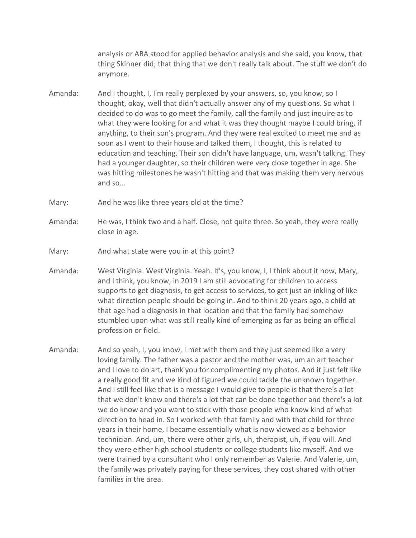analysis or ABA stood for applied behavior analysis and she said, you know, that thing Skinner did; that thing that we don't really talk about. The stuff we don't do anymore.

- Amanda: And I thought, I, I'm really perplexed by your answers, so, you know, so I thought, okay, well that didn't actually answer any of my questions. So what I decided to do was to go meet the family, call the family and just inquire as to what they were looking for and what it was they thought maybe I could bring, if anything, to their son's program. And they were real excited to meet me and as soon as I went to their house and talked them, I thought, this is related to education and teaching. Their son didn't have language, um, wasn't talking. They had a younger daughter, so their children were very close together in age. She was hitting milestones he wasn't hitting and that was making them very nervous and so...
- Mary: And he was like three years old at the time?
- Amanda: He was, I think two and a half. Close, not quite three. So yeah, they were really close in age.
- Mary: And what state were you in at this point?
- Amanda: West Virginia. West Virginia. Yeah. It's, you know, I, I think about it now, Mary, and I think, you know, in 2019 I am still advocating for children to access supports to get diagnosis, to get access to services, to get just an inkling of like what direction people should be going in. And to think 20 years ago, a child at that age had a diagnosis in that location and that the family had somehow stumbled upon what was still really kind of emerging as far as being an official profession or field.
- Amanda: And so yeah, I, you know, I met with them and they just seemed like a very loving family. The father was a pastor and the mother was, um an art teacher and I love to do art, thank you for complimenting my photos. And it just felt like a really good fit and we kind of figured we could tackle the unknown together. And I still feel like that is a message I would give to people is that there's a lot that we don't know and there's a lot that can be done together and there's a lot we do know and you want to stick with those people who know kind of what direction to head in. So I worked with that family and with that child for three years in their home, I became essentially what is now viewed as a behavior technician. And, um, there were other girls, uh, therapist, uh, if you will. And they were either high school students or college students like myself. And we were trained by a consultant who I only remember as Valerie. And Valerie, um, the family was privately paying for these services, they cost shared with other families in the area.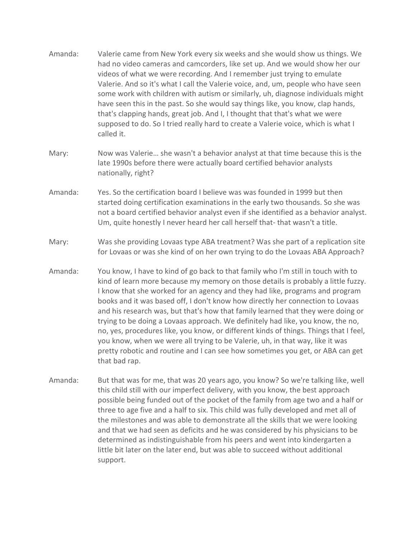- Amanda: Valerie came from New York every six weeks and she would show us things. We had no video cameras and camcorders, like set up. And we would show her our videos of what we were recording. And I remember just trying to emulate Valerie. And so it's what I call the Valerie voice, and, um, people who have seen some work with children with autism or similarly, uh, diagnose individuals might have seen this in the past. So she would say things like, you know, clap hands, that's clapping hands, great job. And I, I thought that that's what we were supposed to do. So I tried really hard to create a Valerie voice, which is what I called it.
- Mary: Now was Valerie… she wasn't a behavior analyst at that time because this is the late 1990s before there were actually board certified behavior analysts nationally, right?
- Amanda: Yes. So the certification board I believe was was founded in 1999 but then started doing certification examinations in the early two thousands. So she was not a board certified behavior analyst even if she identified as a behavior analyst. Um, quite honestly I never heard her call herself that- that wasn't a title.
- Mary: Was she providing Lovaas type ABA treatment? Was she part of a replication site for Lovaas or was she kind of on her own trying to do the Lovaas ABA Approach?
- Amanda: You know, I have to kind of go back to that family who I'm still in touch with to kind of learn more because my memory on those details is probably a little fuzzy. I know that she worked for an agency and they had like, programs and program books and it was based off, I don't know how directly her connection to Lovaas and his research was, but that's how that family learned that they were doing or trying to be doing a Lovaas approach. We definitely had like, you know, the no, no, yes, procedures like, you know, or different kinds of things. Things that I feel, you know, when we were all trying to be Valerie, uh, in that way, like it was pretty robotic and routine and I can see how sometimes you get, or ABA can get that bad rap.
- Amanda: But that was for me, that was 20 years ago, you know? So we're talking like, well this child still with our imperfect delivery, with you know, the best approach possible being funded out of the pocket of the family from age two and a half or three to age five and a half to six. This child was fully developed and met all of the milestones and was able to demonstrate all the skills that we were looking and that we had seen as deficits and he was considered by his physicians to be determined as indistinguishable from his peers and went into kindergarten a little bit later on the later end, but was able to succeed without additional support.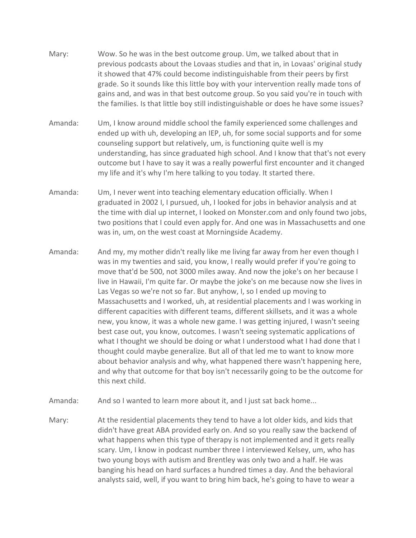- Mary: Wow. So he was in the best outcome group. Um, we talked about that in previous podcasts about the Lovaas studies and that in, in Lovaas' original study it showed that 47% could become indistinguishable from their peers by first grade. So it sounds like this little boy with your intervention really made tons of gains and, and was in that best outcome group. So you said you're in touch with the families. Is that little boy still indistinguishable or does he have some issues?
- Amanda: Um, I know around middle school the family experienced some challenges and ended up with uh, developing an IEP, uh, for some social supports and for some counseling support but relatively, um, is functioning quite well is my understanding, has since graduated high school. And I know that that's not every outcome but I have to say it was a really powerful first encounter and it changed my life and it's why I'm here talking to you today. It started there.
- Amanda: Um, I never went into teaching elementary education officially. When I graduated in 2002 I, I pursued, uh, I looked for jobs in behavior analysis and at the time with dial up internet, I looked on Monster.com and only found two jobs, two positions that I could even apply for. And one was in Massachusetts and one was in, um, on the west coast at Morningside Academy.
- Amanda: And my, my mother didn't really like me living far away from her even though I was in my twenties and said, you know, I really would prefer if you're going to move that'd be 500, not 3000 miles away. And now the joke's on her because I live in Hawaii, I'm quite far. Or maybe the joke's on me because now she lives in Las Vegas so we're not so far. But anyhow, I, so I ended up moving to Massachusetts and I worked, uh, at residential placements and I was working in different capacities with different teams, different skillsets, and it was a whole new, you know, it was a whole new game. I was getting injured, I wasn't seeing best case out, you know, outcomes. I wasn't seeing systematic applications of what I thought we should be doing or what I understood what I had done that I thought could maybe generalize. But all of that led me to want to know more about behavior analysis and why, what happened there wasn't happening here, and why that outcome for that boy isn't necessarily going to be the outcome for this next child.
- Amanda: And so I wanted to learn more about it, and I just sat back home...
- Mary: At the residential placements they tend to have a lot older kids, and kids that didn't have great ABA provided early on. And so you really saw the backend of what happens when this type of therapy is not implemented and it gets really scary. Um, I know in podcast number three I interviewed Kelsey, um, who has two young boys with autism and Brentley was only two and a half. He was banging his head on hard surfaces a hundred times a day. And the behavioral analysts said, well, if you want to bring him back, he's going to have to wear a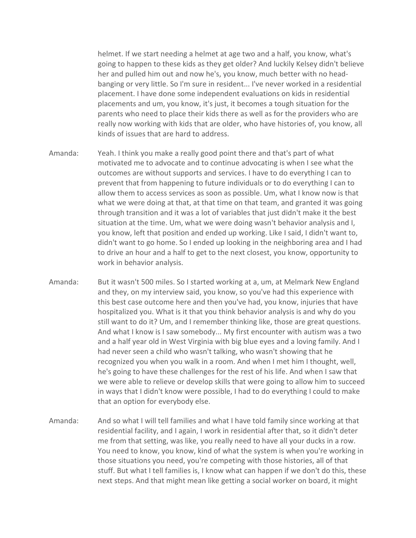helmet. If we start needing a helmet at age two and a half, you know, what's going to happen to these kids as they get older? And luckily Kelsey didn't believe her and pulled him out and now he's, you know, much better with no headbanging or very little. So I'm sure in resident... I've never worked in a residential placement. I have done some independent evaluations on kids in residential placements and um, you know, it's just, it becomes a tough situation for the parents who need to place their kids there as well as for the providers who are really now working with kids that are older, who have histories of, you know, all kinds of issues that are hard to address.

- Amanda: Yeah. I think you make a really good point there and that's part of what motivated me to advocate and to continue advocating is when I see what the outcomes are without supports and services. I have to do everything I can to prevent that from happening to future individuals or to do everything I can to allow them to access services as soon as possible. Um, what I know now is that what we were doing at that, at that time on that team, and granted it was going through transition and it was a lot of variables that just didn't make it the best situation at the time. Um, what we were doing wasn't behavior analysis and I, you know, left that position and ended up working. Like I said, I didn't want to, didn't want to go home. So I ended up looking in the neighboring area and I had to drive an hour and a half to get to the next closest, you know, opportunity to work in behavior analysis.
- Amanda: But it wasn't 500 miles. So I started working at a, um, at Melmark New England and they, on my interview said, you know, so you've had this experience with this best case outcome here and then you've had, you know, injuries that have hospitalized you. What is it that you think behavior analysis is and why do you still want to do it? Um, and I remember thinking like, those are great questions. And what I know is I saw somebody... My first encounter with autism was a two and a half year old in West Virginia with big blue eyes and a loving family. And I had never seen a child who wasn't talking, who wasn't showing that he recognized you when you walk in a room. And when I met him I thought, well, he's going to have these challenges for the rest of his life. And when I saw that we were able to relieve or develop skills that were going to allow him to succeed in ways that I didn't know were possible, I had to do everything I could to make that an option for everybody else.
- Amanda: And so what I will tell families and what I have told family since working at that residential facility, and I again, I work in residential after that, so it didn't deter me from that setting, was like, you really need to have all your ducks in a row. You need to know, you know, kind of what the system is when you're working in those situations you need, you're competing with those histories, all of that stuff. But what I tell families is, I know what can happen if we don't do this, these next steps. And that might mean like getting a social worker on board, it might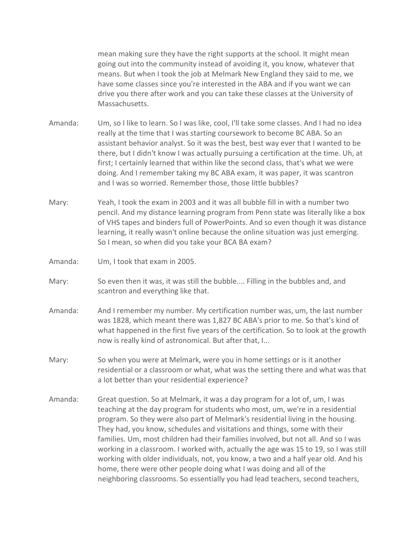mean making sure they have the right supports at the school. It might mean going out into the community instead of avoiding it, you know, whatever that means. But when I took the job at Melmark New England they said to me, we have some classes since you're interested in the ABA and if you want we can drive you there after work and you can take these classes at the University of Massachusetts.

Amanda: Um, so I like to learn. So I was like, cool, I'll take some classes. And I had no idea really at the time that I was starting coursework to become BC ABA. So an assistant behavior analyst. So it was the best, best way ever that I wanted to be there, but I didn't know I was actually pursuing a certification at the time. Uh, at first; I certainly learned that within like the second class, that's what we were doing. And I remember taking my BC ABA exam, it was paper, it was scantron and I was so worried. Remember those, those little bubbles?

- Mary: Yeah, I took the exam in 2003 and it was all bubble fill in with a number two pencil. And my distance learning program from Penn state was literally like a box of VHS tapes and binders full of PowerPoints. And so even though it was distance learning, it really wasn't online because the online situation was just emerging. So I mean, so when did you take your BCA BA exam?
- Amanda: Um, I took that exam in 2005.
- Mary: So even then it was, it was still the bubble.... Filling in the bubbles and, and scantron and everything like that.
- Amanda: And I remember my number. My certification number was, um, the last number was 1828, which meant there was 1,827 BC ABA's prior to me. So that's kind of what happened in the first five years of the certification. So to look at the growth now is really kind of astronomical. But after that, I...
- Mary: So when you were at Melmark, were you in home settings or is it another residential or a classroom or what, what was the setting there and what was that a lot better than your residential experience?
- Amanda: Great question. So at Melmark, it was a day program for a lot of, um, I was teaching at the day program for students who most, um, we're in a residential program. So they were also part of Melmark's residential living in the housing. They had, you know, schedules and visitations and things, some with their families. Um, most children had their families involved, but not all. And so I was working in a classroom. I worked with, actually the age was 15 to 19, so I was still working with older individuals, not, you know, a two and a half year old. And his home, there were other people doing what I was doing and all of the neighboring classrooms. So essentially you had lead teachers, second teachers,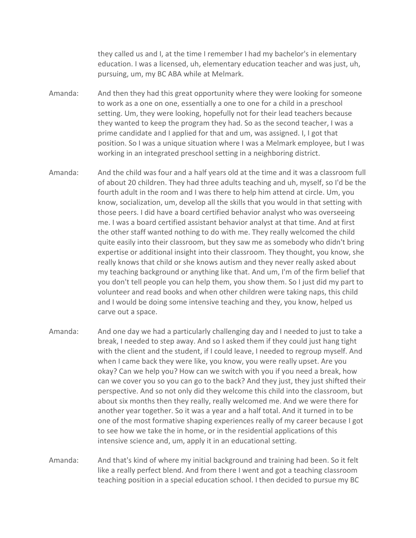they called us and I, at the time I remember I had my bachelor's in elementary education. I was a licensed, uh, elementary education teacher and was just, uh, pursuing, um, my BC ABA while at Melmark.

- Amanda: And then they had this great opportunity where they were looking for someone to work as a one on one, essentially a one to one for a child in a preschool setting. Um, they were looking, hopefully not for their lead teachers because they wanted to keep the program they had. So as the second teacher, I was a prime candidate and I applied for that and um, was assigned. I, I got that position. So I was a unique situation where I was a Melmark employee, but I was working in an integrated preschool setting in a neighboring district.
- Amanda: And the child was four and a half years old at the time and it was a classroom full of about 20 children. They had three adults teaching and uh, myself, so I'd be the fourth adult in the room and I was there to help him attend at circle. Um, you know, socialization, um, develop all the skills that you would in that setting with those peers. I did have a board certified behavior analyst who was overseeing me. I was a board certified assistant behavior analyst at that time. And at first the other staff wanted nothing to do with me. They really welcomed the child quite easily into their classroom, but they saw me as somebody who didn't bring expertise or additional insight into their classroom. They thought, you know, she really knows that child or she knows autism and they never really asked about my teaching background or anything like that. And um, I'm of the firm belief that you don't tell people you can help them, you show them. So I just did my part to volunteer and read books and when other children were taking naps, this child and I would be doing some intensive teaching and they, you know, helped us carve out a space.
- Amanda: And one day we had a particularly challenging day and I needed to just to take a break, I needed to step away. And so I asked them if they could just hang tight with the client and the student, if I could leave, I needed to regroup myself. And when I came back they were like, you know, you were really upset. Are you okay? Can we help you? How can we switch with you if you need a break, how can we cover you so you can go to the back? And they just, they just shifted their perspective. And so not only did they welcome this child into the classroom, but about six months then they really, really welcomed me. And we were there for another year together. So it was a year and a half total. And it turned in to be one of the most formative shaping experiences really of my career because I got to see how we take the in home, or in the residential applications of this intensive science and, um, apply it in an educational setting.
- Amanda: And that's kind of where my initial background and training had been. So it felt like a really perfect blend. And from there I went and got a teaching classroom teaching position in a special education school. I then decided to pursue my BC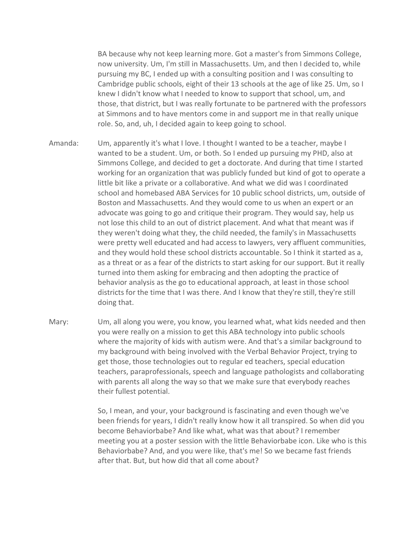BA because why not keep learning more. Got a master's from Simmons College, now university. Um, I'm still in Massachusetts. Um, and then I decided to, while pursuing my BC, I ended up with a consulting position and I was consulting to Cambridge public schools, eight of their 13 schools at the age of like 25. Um, so I knew I didn't know what I needed to know to support that school, um, and those, that district, but I was really fortunate to be partnered with the professors at Simmons and to have mentors come in and support me in that really unique role. So, and, uh, I decided again to keep going to school.

- Amanda: Um, apparently it's what I love. I thought I wanted to be a teacher, maybe I wanted to be a student. Um, or both. So I ended up pursuing my PHD, also at Simmons College, and decided to get a doctorate. And during that time I started working for an organization that was publicly funded but kind of got to operate a little bit like a private or a collaborative. And what we did was I coordinated school and homebased ABA Services for 10 public school districts, um, outside of Boston and Massachusetts. And they would come to us when an expert or an advocate was going to go and critique their program. They would say, help us not lose this child to an out of district placement. And what that meant was if they weren't doing what they, the child needed, the family's in Massachusetts were pretty well educated and had access to lawyers, very affluent communities, and they would hold these school districts accountable. So I think it started as a, as a threat or as a fear of the districts to start asking for our support. But it really turned into them asking for embracing and then adopting the practice of behavior analysis as the go to educational approach, at least in those school districts for the time that I was there. And I know that they're still, they're still doing that.
- Mary: Um, all along you were, you know, you learned what, what kids needed and then you were really on a mission to get this ABA technology into public schools where the majority of kids with autism were. And that's a similar background to my background with being involved with the Verbal Behavior Project, trying to get those, those technologies out to regular ed teachers, special education teachers, paraprofessionals, speech and language pathologists and collaborating with parents all along the way so that we make sure that everybody reaches their fullest potential.

So, I mean, and your, your background is fascinating and even though we've been friends for years, I didn't really know how it all transpired. So when did you become Behaviorbabe? And like what, what was that about? I remember meeting you at a poster session with the little Behaviorbabe icon. Like who is this Behaviorbabe? And, and you were like, that's me! So we became fast friends after that. But, but how did that all come about?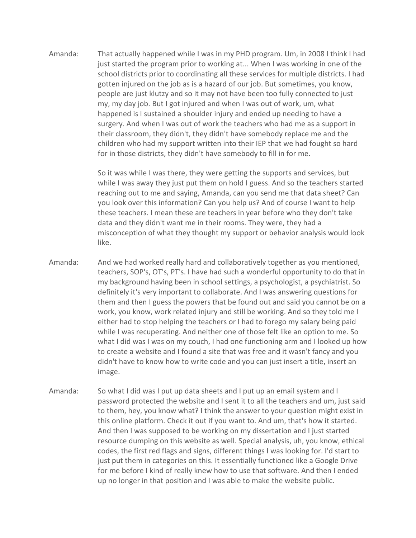Amanda: That actually happened while I was in my PHD program. Um, in 2008 I think I had just started the program prior to working at... When I was working in one of the school districts prior to coordinating all these services for multiple districts. I had gotten injured on the job as is a hazard of our job. But sometimes, you know, people are just klutzy and so it may not have been too fully connected to just my, my day job. But I got injured and when I was out of work, um, what happened is I sustained a shoulder injury and ended up needing to have a surgery. And when I was out of work the teachers who had me as a support in their classroom, they didn't, they didn't have somebody replace me and the children who had my support written into their IEP that we had fought so hard for in those districts, they didn't have somebody to fill in for me.

> So it was while I was there, they were getting the supports and services, but while I was away they just put them on hold I guess. And so the teachers started reaching out to me and saying, Amanda, can you send me that data sheet? Can you look over this information? Can you help us? And of course I want to help these teachers. I mean these are teachers in year before who they don't take data and they didn't want me in their rooms. They were, they had a misconception of what they thought my support or behavior analysis would look like.

- Amanda: And we had worked really hard and collaboratively together as you mentioned, teachers, SOP's, OT's, PT's. I have had such a wonderful opportunity to do that in my background having been in school settings, a psychologist, a psychiatrist. So definitely it's very important to collaborate. And I was answering questions for them and then I guess the powers that be found out and said you cannot be on a work, you know, work related injury and still be working. And so they told me I either had to stop helping the teachers or I had to forego my salary being paid while I was recuperating. And neither one of those felt like an option to me. So what I did was I was on my couch, I had one functioning arm and I looked up how to create a website and I found a site that was free and it wasn't fancy and you didn't have to know how to write code and you can just insert a title, insert an image.
- Amanda: So what I did was I put up data sheets and I put up an email system and I password protected the website and I sent it to all the teachers and um, just said to them, hey, you know what? I think the answer to your question might exist in this online platform. Check it out if you want to. And um, that's how it started. And then I was supposed to be working on my dissertation and I just started resource dumping on this website as well. Special analysis, uh, you know, ethical codes, the first red flags and signs, different things I was looking for. I'd start to just put them in categories on this. It essentially functioned like a Google Drive for me before I kind of really knew how to use that software. And then I ended up no longer in that position and I was able to make the website public.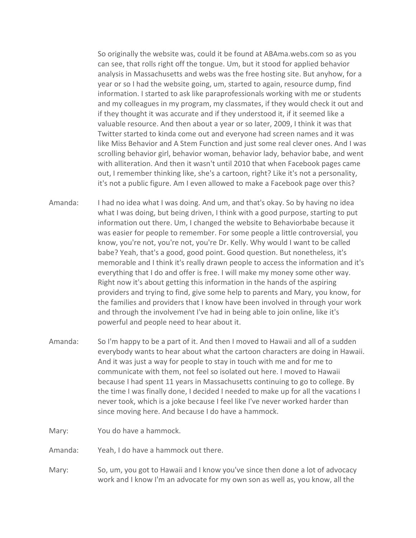So originally the website was, could it be found at ABAma.webs.com so as you can see, that rolls right off the tongue. Um, but it stood for applied behavior analysis in Massachusetts and webs was the free hosting site. But anyhow, for a year or so I had the website going, um, started to again, resource dump, find information. I started to ask like paraprofessionals working with me or students and my colleagues in my program, my classmates, if they would check it out and if they thought it was accurate and if they understood it, if it seemed like a valuable resource. And then about a year or so later, 2009, I think it was that Twitter started to kinda come out and everyone had screen names and it was like Miss Behavior and A Stem Function and just some real clever ones. And I was scrolling behavior girl, behavior woman, behavior lady, behavior babe, and went with alliteration. And then it wasn't until 2010 that when Facebook pages came out, I remember thinking like, she's a cartoon, right? Like it's not a personality, it's not a public figure. Am I even allowed to make a Facebook page over this?

- Amanda: I had no idea what I was doing. And um, and that's okay. So by having no idea what I was doing, but being driven, I think with a good purpose, starting to put information out there. Um, I changed the website to Behaviorbabe because it was easier for people to remember. For some people a little controversial, you know, you're not, you're not, you're Dr. Kelly. Why would I want to be called babe? Yeah, that's a good, good point. Good question. But nonetheless, it's memorable and I think it's really drawn people to access the information and it's everything that I do and offer is free. I will make my money some other way. Right now it's about getting this information in the hands of the aspiring providers and trying to find, give some help to parents and Mary, you know, for the families and providers that I know have been involved in through your work and through the involvement I've had in being able to join online, like it's powerful and people need to hear about it.
- Amanda: So I'm happy to be a part of it. And then I moved to Hawaii and all of a sudden everybody wants to hear about what the cartoon characters are doing in Hawaii. And it was just a way for people to stay in touch with me and for me to communicate with them, not feel so isolated out here. I moved to Hawaii because I had spent 11 years in Massachusetts continuing to go to college. By the time I was finally done, I decided I needed to make up for all the vacations I never took, which is a joke because I feel like I've never worked harder than since moving here. And because I do have a hammock.
- Mary: You do have a hammock.

Amanda: Yeah, I do have a hammock out there.

Mary: So, um, you got to Hawaii and I know you've since then done a lot of advocacy work and I know I'm an advocate for my own son as well as, you know, all the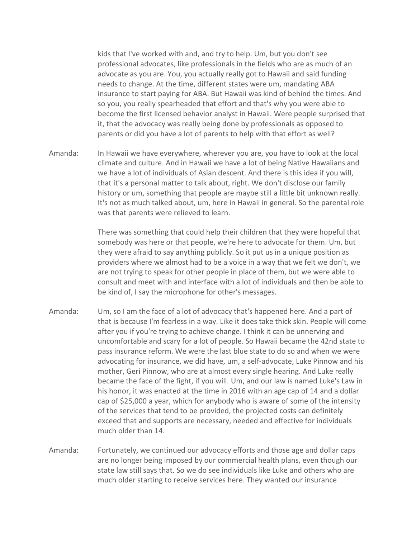kids that I've worked with and, and try to help. Um, but you don't see professional advocates, like professionals in the fields who are as much of an advocate as you are. You, you actually really got to Hawaii and said funding needs to change. At the time, different states were um, mandating ABA insurance to start paying for ABA. But Hawaii was kind of behind the times. And so you, you really spearheaded that effort and that's why you were able to become the first licensed behavior analyst in Hawaii. Were people surprised that it, that the advocacy was really being done by professionals as opposed to parents or did you have a lot of parents to help with that effort as well?

Amanda: In Hawaii we have everywhere, wherever you are, you have to look at the local climate and culture. And in Hawaii we have a lot of being Native Hawaiians and we have a lot of individuals of Asian descent. And there is this idea if you will, that it's a personal matter to talk about, right. We don't disclose our family history or um, something that people are maybe still a little bit unknown really. It's not as much talked about, um, here in Hawaii in general. So the parental role was that parents were relieved to learn.

> There was something that could help their children that they were hopeful that somebody was here or that people, we're here to advocate for them. Um, but they were afraid to say anything publicly. So it put us in a unique position as providers where we almost had to be a voice in a way that we felt we don't, we are not trying to speak for other people in place of them, but we were able to consult and meet with and interface with a lot of individuals and then be able to be kind of, I say the microphone for other's messages.

- Amanda: Um, so I am the face of a lot of advocacy that's happened here. And a part of that is because I'm fearless in a way. Like it does take thick skin. People will come after you if you're trying to achieve change. I think it can be unnerving and uncomfortable and scary for a lot of people. So Hawaii became the 42nd state to pass insurance reform. We were the last blue state to do so and when we were advocating for insurance, we did have, um, a self-advocate, Luke Pinnow and his mother, Geri Pinnow, who are at almost every single hearing. And Luke really became the face of the fight, if you will. Um, and our law is named Luke's Law in his honor, it was enacted at the time in 2016 with an age cap of 14 and a dollar cap of \$25,000 a year, which for anybody who is aware of some of the intensity of the services that tend to be provided, the projected costs can definitely exceed that and supports are necessary, needed and effective for individuals much older than 14.
- Amanda: Fortunately, we continued our advocacy efforts and those age and dollar caps are no longer being imposed by our commercial health plans, even though our state law still says that. So we do see individuals like Luke and others who are much older starting to receive services here. They wanted our insurance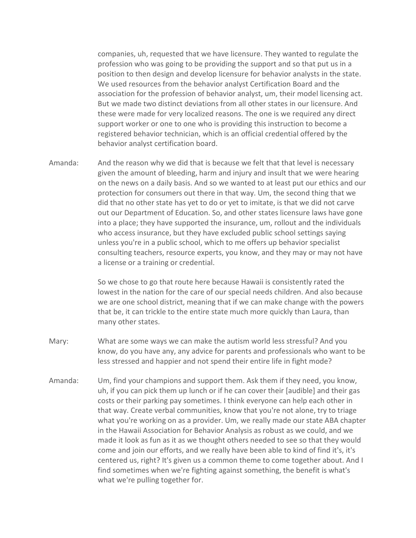companies, uh, requested that we have licensure. They wanted to regulate the profession who was going to be providing the support and so that put us in a position to then design and develop licensure for behavior analysts in the state. We used resources from the behavior analyst Certification Board and the association for the profession of behavior analyst, um, their model licensing act. But we made two distinct deviations from all other states in our licensure. And these were made for very localized reasons. The one is we required any direct support worker or one to one who is providing this instruction to become a registered behavior technician, which is an official credential offered by the behavior analyst certification board.

Amanda: And the reason why we did that is because we felt that that level is necessary given the amount of bleeding, harm and injury and insult that we were hearing on the news on a daily basis. And so we wanted to at least put our ethics and our protection for consumers out there in that way. Um, the second thing that we did that no other state has yet to do or yet to imitate, is that we did not carve out our Department of Education. So, and other states licensure laws have gone into a place; they have supported the insurance, um, rollout and the individuals who access insurance, but they have excluded public school settings saying unless you're in a public school, which to me offers up behavior specialist consulting teachers, resource experts, you know, and they may or may not have a license or a training or credential.

> So we chose to go that route here because Hawaii is consistently rated the lowest in the nation for the care of our special needs children. And also because we are one school district, meaning that if we can make change with the powers that be, it can trickle to the entire state much more quickly than Laura, than many other states.

- Mary: What are some ways we can make the autism world less stressful? And you know, do you have any, any advice for parents and professionals who want to be less stressed and happier and not spend their entire life in fight mode?
- Amanda: Um, find your champions and support them. Ask them if they need, you know, uh, if you can pick them up lunch or if he can cover their [audible] and their gas costs or their parking pay sometimes. I think everyone can help each other in that way. Create verbal communities, know that you're not alone, try to triage what you're working on as a provider. Um, we really made our state ABA chapter in the Hawaii Association for Behavior Analysis as robust as we could, and we made it look as fun as it as we thought others needed to see so that they would come and join our efforts, and we really have been able to kind of find it's, it's centered us, right? It's given us a common theme to come together about. And I find sometimes when we're fighting against something, the benefit is what's what we're pulling together for.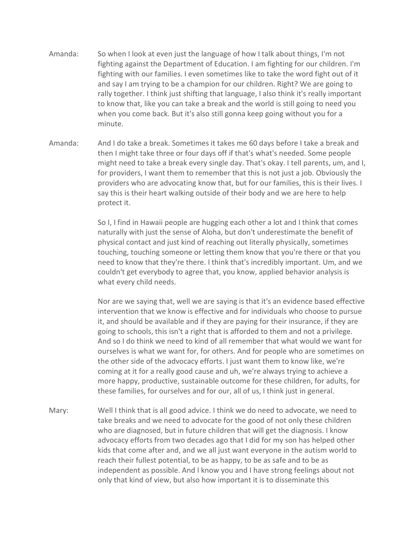- Amanda: So when I look at even just the language of how I talk about things, I'm not fighting against the Department of Education. I am fighting for our children. I'm fighting with our families. I even sometimes like to take the word fight out of it and say I am trying to be a champion for our children. Right? We are going to rally together. I think just shifting that language, I also think it's really important to know that, like you can take a break and the world is still going to need you when you come back. But it's also still gonna keep going without you for a minute.
- Amanda: And I do take a break. Sometimes it takes me 60 days before I take a break and then I might take three or four days off if that's what's needed. Some people might need to take a break every single day. That's okay. I tell parents, um, and I, for providers, I want them to remember that this is not just a job. Obviously the providers who are advocating know that, but for our families, this is their lives. I say this is their heart walking outside of their body and we are here to help protect it.

So I, I find in Hawaii people are hugging each other a lot and I think that comes naturally with just the sense of Aloha, but don't underestimate the benefit of physical contact and just kind of reaching out literally physically, sometimes touching, touching someone or letting them know that you're there or that you need to know that they're there. I think that's incredibly important. Um, and we couldn't get everybody to agree that, you know, applied behavior analysis is what every child needs.

Nor are we saying that, well we are saying is that it's an evidence based effective intervention that we know is effective and for individuals who choose to pursue it, and should be available and if they are paying for their insurance, if they are going to schools, this isn't a right that is afforded to them and not a privilege. And so I do think we need to kind of all remember that what would we want for ourselves is what we want for, for others. And for people who are sometimes on the other side of the advocacy efforts. I just want them to know like, we're coming at it for a really good cause and uh, we're always trying to achieve a more happy, productive, sustainable outcome for these children, for adults, for these families, for ourselves and for our, all of us, I think just in general.

Mary: Well I think that is all good advice. I think we do need to advocate, we need to take breaks and we need to advocate for the good of not only these children who are diagnosed, but in future children that will get the diagnosis. I know advocacy efforts from two decades ago that I did for my son has helped other kids that come after and, and we all just want everyone in the autism world to reach their fullest potential, to be as happy, to be as safe and to be as independent as possible. And I know you and I have strong feelings about not only that kind of view, but also how important it is to disseminate this